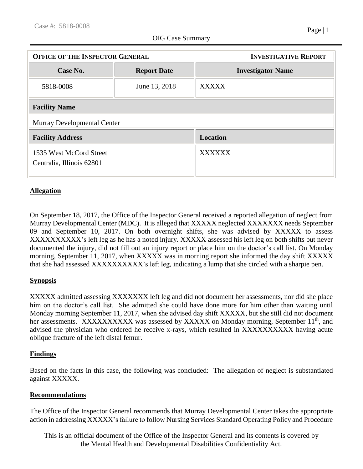| <b>OFFICE OF THE INSPECTOR GENERAL</b>               |                    | <b>INVESTIGATIVE REPORT</b> |
|------------------------------------------------------|--------------------|-----------------------------|
| Case No.                                             | <b>Report Date</b> | <b>Investigator Name</b>    |
| 5818-0008                                            | June 13, 2018      | <b>XXXXX</b>                |
| <b>Facility Name</b>                                 |                    |                             |
| <b>Murray Developmental Center</b>                   |                    |                             |
| <b>Facility Address</b>                              |                    | <b>Location</b>             |
| 1535 West McCord Street<br>Centralia, Illinois 62801 |                    | <b>XXXXXX</b>               |

## **Allegation**

On September 18, 2017, the Office of the Inspector General received a reported allegation of neglect from Murray Developmental Center (MDC). It is alleged that XXXXX neglected XXXXXXX needs September 09 and September 10, 2017. On both overnight shifts, she was advised by XXXXX to assess XXXXXXXXXX's left leg as he has a noted injury. XXXXX assessed his left leg on both shifts but never documented the injury, did not fill out an injury report or place him on the doctor's call list. On Monday morning, September 11, 2017, when XXXXX was in morning report she informed the day shift XXXXX that she had assessed XXXXXXXXXX's left leg, indicating a lump that she circled with a sharpie pen.

## **Synopsis**

XXXXX admitted assessing XXXXXXX left leg and did not document her assessments, nor did she place him on the doctor's call list. She admitted she could have done more for him other than waiting until Monday morning September 11, 2017, when she advised day shift XXXXX, but she still did not document her assessments. XXXXXXXXXX was assessed by XXXXX on Monday morning, September 11<sup>th</sup>, and advised the physician who ordered he receive x-rays, which resulted in XXXXXXXXXX having acute oblique fracture of the left distal femur.

## **Findings**

Based on the facts in this case, the following was concluded: The allegation of neglect is substantiated against XXXXX.

## **Recommendations**

The Office of the Inspector General recommends that Murray Developmental Center takes the appropriate action in addressing XXXXX's failure to follow Nursing Services Standard Operating Policy and Procedure

This is an official document of the Office of the Inspector General and its contents is covered by the Mental Health and Developmental Disabilities Confidentiality Act.